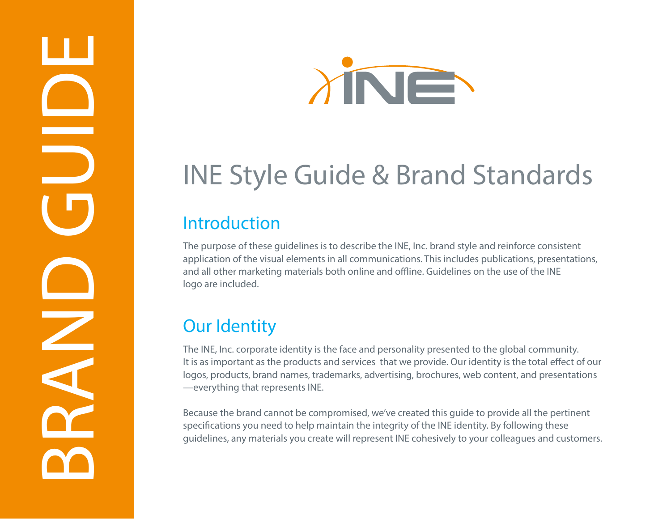



# INE Style Guide & Brand Standards

#### Introduction

The purpose of these guidelines is to describe the INE, Inc. brand style and reinforce consistent application of the visual elements in all communications. This includes publications, presentations, and all other marketing materials both online and offline. Guidelines on the use of the INE logo are included.  $S_t$ 

### Our Identity

The INE, Inc. corporate identity is the face and personality presented to the global community. It is as important as the products and services that we provide. Our identity is the total effect of our logos, products, brand names, trademarks, advertising, brochures, web content, and presentations —everything that represents INE.

Because the brand cannot be compromised, we've created this guide to provide all the pertinent specifications you need to help maintain the integrity of the INE identity. By following these guidelines, any materials you create will represent INE cohesively to your colleagues and customers. PMS 144 / Reverse (white) Reverse (white)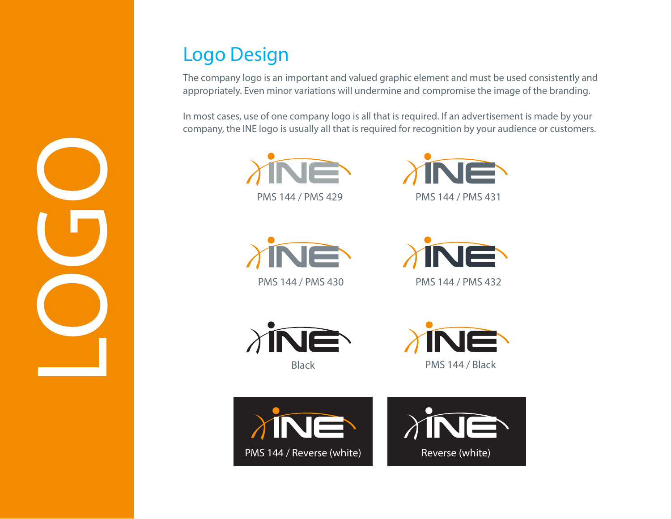## Logo Design

**COGOO** 

The company logo is an important and valued graphic element and must be used consistently and appropriately. Even minor variations will undermine and compromise the image of the branding.

In most cases, use of one company logo is all that is required. If an advertisement is made by your company, the INE logo is usually all that is required for recognition by your audience or customers.













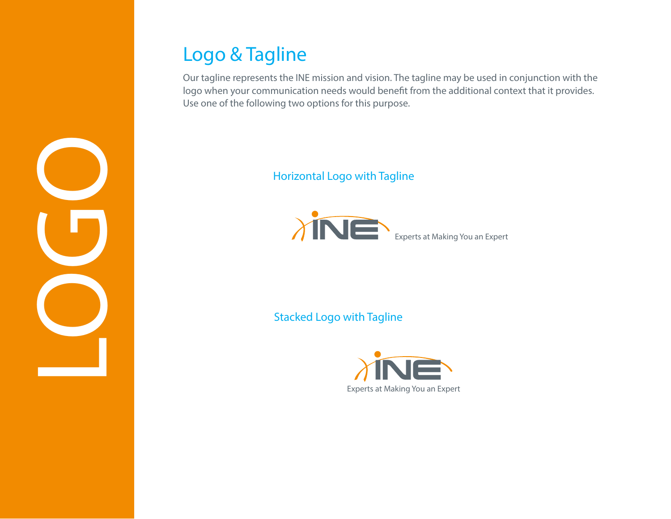## Logo & Tagline

Our tagline represents the INE mission and vision. The tagline may be used in conjunction with the logo when your communication needs would benefit from the additional context that it provides. Use one of the following two options for this purpose.

#### Horizontal Logo with Tagline



Stacked Logo with Tagline



**COGOO**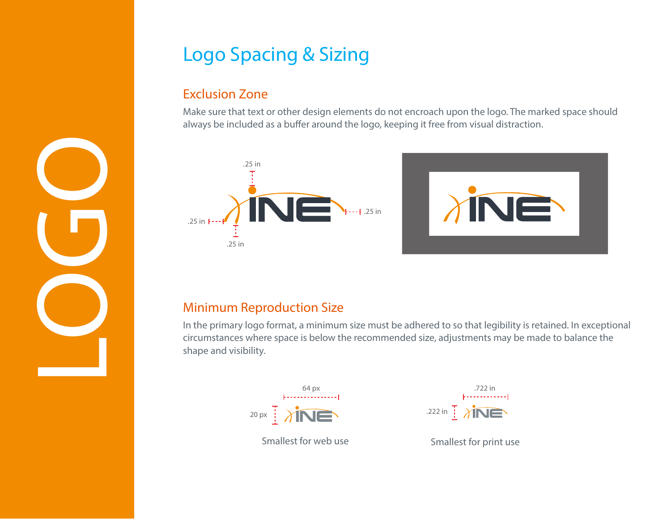## Logo Spacing & Sizing

#### Exclusion Zone

**COGOO** 

Make sure that text or other design elements do not encroach upon the logo. The marked space should always be included as a buffer around the logo, keeping it free from visual distraction.



#### Minimum Reproduction Size

In the primary logo format, a minimum size must be adhered to so that legibility is retained. In exceptional circumstances where space is below the recommended size, adjustments may be made to balance the shape and visibility.



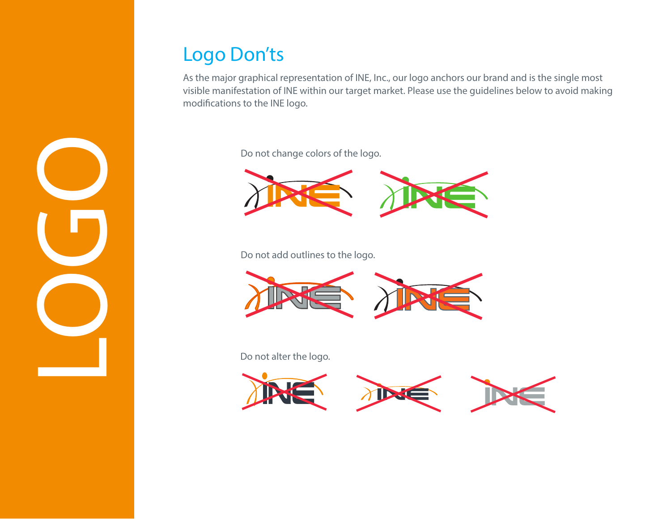## Logo Don'ts

As the major graphical representation of INE, Inc., our logo anchors our brand and is the single most visible manifestation of INE within our target market. Please use the guidelines below to avoid making modifications to the INE logo.

Do not change colors of the logo.



Do not add outlines to the logo.



Do not alter the logo.



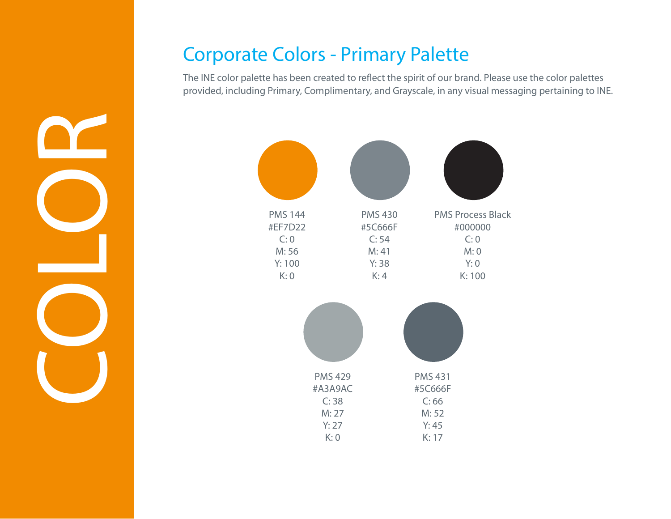#### Corporate Colors - Primary Palette

The INE color palette has been created to reflect the spirit of our brand. Please use the color palettes provided, including Primary, Complimentary, and Grayscale, in any visual messaging pertaining to INE.



COLORING COLOR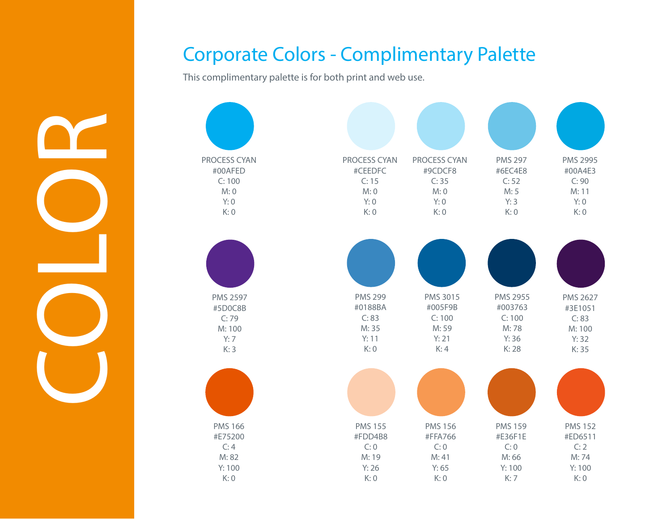## Corporate Colors - Complimentary Palette

This complimentary palette is for both print and web use.

COLORING COLOR

| PROCESS CYAN    | PROCESS CYAN   | PROCESS CYAN   | <b>PMS 297</b> | <b>PMS 2995</b> |
|-----------------|----------------|----------------|----------------|-----------------|
| #00AFED         | #CEEDFC        | #9CDCF8        | #6EC4E8        | #00A4E3         |
| C: 100          | C: 15          | C: 35          | C: 52          | C: 90           |
| M: 0            | M: 0           | M: 0           | M: 5           | M: 11           |
| Y: 0            | Y: 0           | Y: 0           | Y:3            | Y: 0            |
| K: 0            | K: 0           | K: 0           | K: 0           | K: 0            |
| <b>PMS 2597</b> | <b>PMS 299</b> | PMS 3015       | PMS 2955       | PMS 2627        |
| #5D0C8B         | #0188BA        | #005F9B        | #003763        | #3E1051         |
| C:79            | C: 83          | C: 100         | C: 100         | C: 83           |
| M: 100          | M: 35          | M: 59          | M:78           | M: 100          |
| Y:7             | Y: 11          | Y:21           | Y:36           | Y:32            |
| K:3             | K: 0           | K:4            | K: 28          | K: 35           |
| <b>PMS 166</b>  | <b>PMS 155</b> | <b>PMS 156</b> | <b>PMS 159</b> | <b>PMS 152</b>  |
| #E75200         | #FDD4B8        | #FFA766        | #E36F1E        | #ED6511         |
| C:4             | C: 0           | C: 0           | C: 0           | C:2             |
| M: 82           | M: 19          | M:41           | M: 66          | M: 74           |
| Y: 100          | Y:26           | Y: 65          | Y: 100         | Y: 100          |
| K: 0            | K: 0           | K: 0           | K: 7           | K: 0            |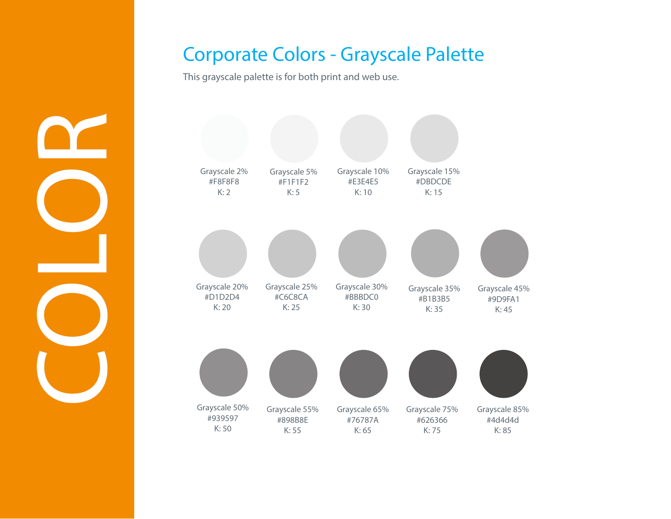#### Corporate Colors - Grayscale Palette

This grayscale palette is for both print and web use.

COLORING COLOR

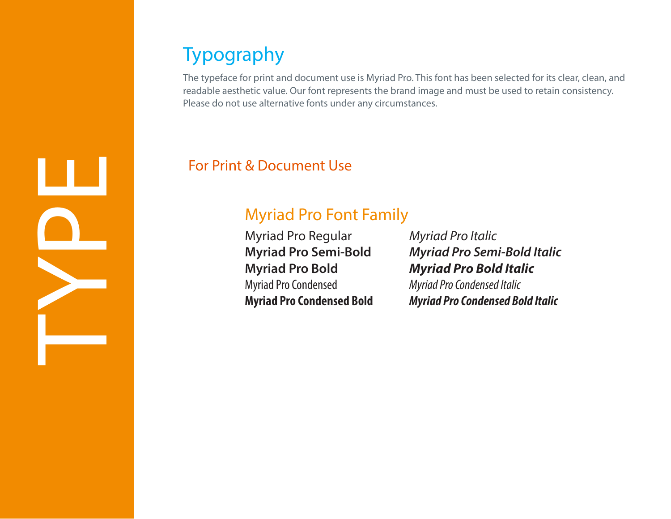## Typography

The typeface for print and document use is Myriad Pro. This font has been selected for its clear, clean, and readable aesthetic value. Our font represents the brand image and must be used to retain consistency. Please do not use alternative fonts under any circumstances.

#### For Print & Document Use

#### Myriad Pro Font Family

Myriad Pro Regular **Myriad Pro Semi-Bold Myriad Pro Bold** Myriad Pro Condensed **Myriad Pro Condensed Bold** *Myriad Pro Italic Myriad Pro Semi-Bold Italic Myriad Pro Bold Italic Myriad Pro Condensed Italic Myriad Pro Condensed Bold Italic*

HOLDER NE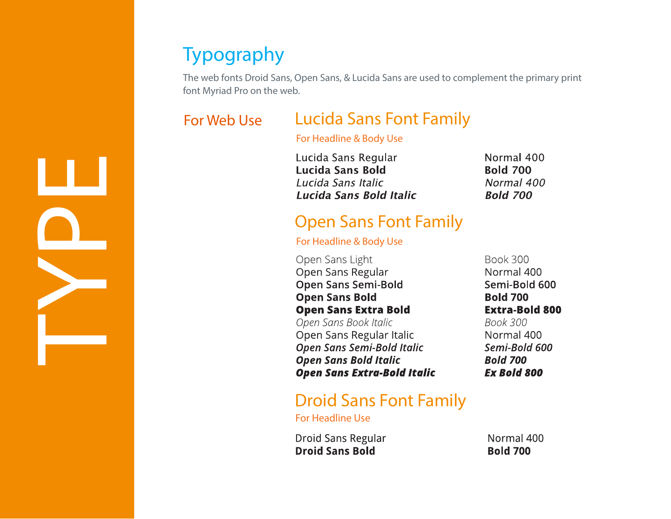## Typography

The web fonts Droid Sans, Open Sans, & Lucida Sans are used to complement the primary print font Myriad Pro on the web.

#### For Web Use

#### Lucida Sans Font Family

#### For Headline & Body Use

Lucida Sans Regular Normal 400 Lucida Sans Bold **Bold 700** Lucida Sans Italic Normal 400 Lucida Sans Bold Italic **Bold 700** 

#### Open Sans Font Family

#### For Headline & Body Use

Open Sans Light Open Sans Regular **Open Sans Semi-Bold Open Sans Bold Open Sans Extra Bold** Open Sans Book Italic Open Sans Regular Italic **Open Sans Semi-Bold Italic Open Sans Bold Italic Open Sans Extra-Bold Italic** 

#### Droid Sans Font Family

For Headline Use

**Droid Sans Regular Droid Sans Bold** 

Normal 400 **Bold 700** 

**Book 300** Normal 400 Semi-Bold 600 **Bold 700 Extra-Bold 800 Book 300** Normal 400 Semi-Bold 600 **Bold 700 Ex Bold 800** 

HOLDER NE